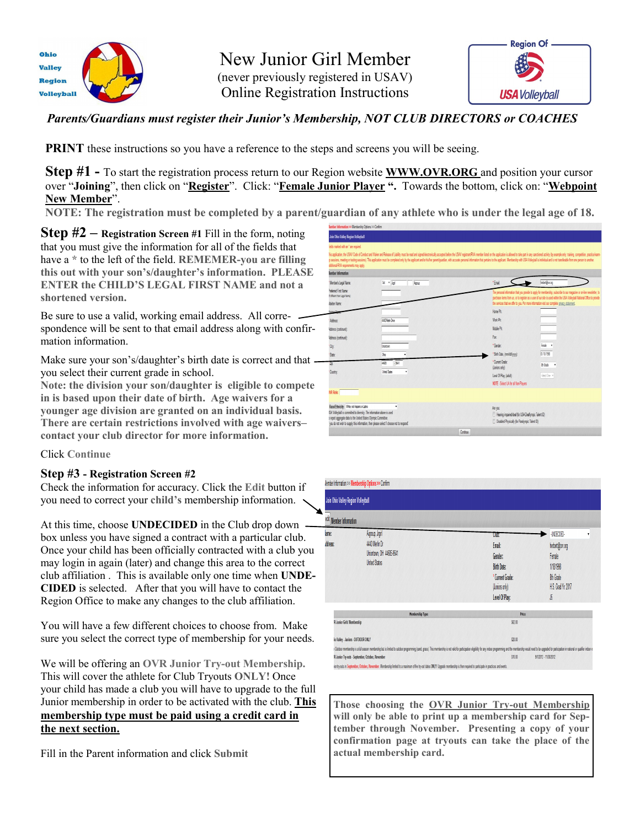

New Junior Girl Member (never previously registered in USAV) Online Registration Instructions



### *Parents/Guardians must register their Junior's Membership, NOT CLUB DIRECTORS or COACHES*

**PRINT** these instructions so you have a reference to the steps and screens you will be seeing.

**Step #1 -** To start the registration process return to our Region website **WWW.OVR.ORG** and position your cursor over "**Joining**", then click on "**Register**". Click: "**Female Junior Player ".** Towards the bottom, click on: "**Webpoint New Member**".

**NOTE: The registration must be completed by a parent/guardian of any athlete who is under the legal age of 18.** 

**Step #2 – Registration Screen #1** Fill in the form, noting that you must give the information for all of the fields that have a **\*** to the left of the field. **REMEMER-you are filling this out with your son's/daughter's information. PLEASE ENTER the CHILD'S LEGAL FIRST NAME and not a shortened version.**

Be sure to use a valid, working email address. All correspondence will be sent to that email address along with confirmation information.

Make sure your son's/daughter's birth date is correct and that you select their current grade in school.

**Note: the division your son/daughter is eligible to compete in is based upon their date of birth. Age waivers for a younger age division are granted on an individual basis. There are certain restrictions involved with age waivers– contact your club director for more information.**

Click **Continue**

#### **Step #3 - Registration Screen #2**

Check the information for accuracy. Click the **Edit** button if you need to correct your **child's** membership information.

At this time, choose **UNDECIDED** in the Club drop down box unless you have signed a contract with a particular club. Once your child has been officially contracted with a club you may login in again (later) and change this area to the correct club affiliation . This is available only one time when **UNDE-CIDED** is selected. After that you will have to contact the Region Office to make any changes to the club affiliation.

You will have a few different choices to choose from. Make sure you select the correct type of membership for your needs.

We will be offering an **OVR Junior Try-out Membership.** This will cover the athlete for Club Tryouts **ONLY!** Once your child has made a club you will have to upgrade to the full Junior membership in order to be activated with the club. **This membership type must be paid using a credit card in the next section.** 

Fill in the Parent information and click **Submit**

| ields marked with an " are required.                                                                                                                                                     |                                                                                              |                                                                                                                                                                                                                                                                                                                                                                                                                                                                  |                                                                                                                                                                                                                                                                                                                                                     |
|------------------------------------------------------------------------------------------------------------------------------------------------------------------------------------------|----------------------------------------------------------------------------------------------|------------------------------------------------------------------------------------------------------------------------------------------------------------------------------------------------------------------------------------------------------------------------------------------------------------------------------------------------------------------------------------------------------------------------------------------------------------------|-----------------------------------------------------------------------------------------------------------------------------------------------------------------------------------------------------------------------------------------------------------------------------------------------------------------------------------------------------|
| ddtional RVA requirements may apply.                                                                                                                                                     |                                                                                              | his application, the USAV Code of Conduct and Waiver and Release of Liability must be read and signed/electronically accepted before the USAV registerdRVA member listed on the application is allowed to take part in any san<br>p sessions, meding or lesting sessions). This application must be completed only by the applicant and/or his her parent/quardian, with accurate personal information that pertains to the applicant. Membership with USA Volle |                                                                                                                                                                                                                                                                                                                                                     |
| lember Information                                                                                                                                                                       |                                                                                              |                                                                                                                                                                                                                                                                                                                                                                                                                                                                  |                                                                                                                                                                                                                                                                                                                                                     |
| 'Member's Legal Name:                                                                                                                                                                    | 38 · 周<br>kpa                                                                                | *Email:                                                                                                                                                                                                                                                                                                                                                                                                                                                          | hebet@ow.org                                                                                                                                                                                                                                                                                                                                        |
| Preferred First Name:<br>(and legal net treeth)<br><b>Jailen Name</b>                                                                                                                    |                                                                                              |                                                                                                                                                                                                                                                                                                                                                                                                                                                                  | The personal information that you provide to apply for membership, subscribe to our magazine or on-line newsletter, to<br>purchase items from us, or to register as a user of our site is used within the USA Volleyball National Office to provide<br>the serioes that we offer to you. For more information visit our complete privacy statement. |
| comer lie                                                                                                                                                                                |                                                                                              | Home Ph:                                                                                                                                                                                                                                                                                                                                                                                                                                                         |                                                                                                                                                                                                                                                                                                                                                     |
| Address                                                                                                                                                                                  | 440) Merin Drive                                                                             | Work Ph:                                                                                                                                                                                                                                                                                                                                                                                                                                                         |                                                                                                                                                                                                                                                                                                                                                     |
| Address (continued):                                                                                                                                                                     |                                                                                              | Mobile Ph                                                                                                                                                                                                                                                                                                                                                                                                                                                        |                                                                                                                                                                                                                                                                                                                                                     |
| Address (continued):                                                                                                                                                                     |                                                                                              | Far                                                                                                                                                                                                                                                                                                                                                                                                                                                              |                                                                                                                                                                                                                                                                                                                                                     |
| City.                                                                                                                                                                                    | Ington                                                                                       | * Gender                                                                                                                                                                                                                                                                                                                                                                                                                                                         | Fenale v                                                                                                                                                                                                                                                                                                                                            |
| Sale                                                                                                                                                                                     | Oho                                                                                          | * Birth Date, (mm/dd/yyyy):                                                                                                                                                                                                                                                                                                                                                                                                                                      | 01/18/1998                                                                                                                                                                                                                                                                                                                                          |
| ЪŢ.                                                                                                                                                                                      | 4685<br>$-941$                                                                               | * Current Grade<br>(Juniors only)                                                                                                                                                                                                                                                                                                                                                                                                                                | lib Gode                                                                                                                                                                                                                                                                                                                                            |
| Country:                                                                                                                                                                                 | Unted States                                                                                 | Level Of Play, (adult):                                                                                                                                                                                                                                                                                                                                                                                                                                          | -Seizt One =                                                                                                                                                                                                                                                                                                                                        |
|                                                                                                                                                                                          |                                                                                              | NOTE - Select UA for all Non-Players                                                                                                                                                                                                                                                                                                                                                                                                                             |                                                                                                                                                                                                                                                                                                                                                     |
| <b>NR Role:</b>                                                                                                                                                                          |                                                                                              |                                                                                                                                                                                                                                                                                                                                                                                                                                                                  |                                                                                                                                                                                                                                                                                                                                                     |
| Race Ethnicity: White not Hapanic or Latro<br>ISA Volleyball is committed to diversity. The information above is used<br>I report apprepate data to the United States Olympic Committee. | ٠<br>you do not wish to supply this information, then please select 1 choose not to respond. | Are your<br>Hearing impaired deaf (for USA Deaflympic Talent ID)<br><b>Disabled Physically for Paralympic Talent DJ</b>                                                                                                                                                                                                                                                                                                                                          |                                                                                                                                                                                                                                                                                                                                                     |

|                                    | ember Information >> Membership Options >> Confirm                                                                                                                                                                                                                                                                                                                                                                                                                          |                                                                                                                |                                                                                                   |
|------------------------------------|-----------------------------------------------------------------------------------------------------------------------------------------------------------------------------------------------------------------------------------------------------------------------------------------------------------------------------------------------------------------------------------------------------------------------------------------------------------------------------|----------------------------------------------------------------------------------------------------------------|---------------------------------------------------------------------------------------------------|
| Join Ohio Valley Region Volleyball |                                                                                                                                                                                                                                                                                                                                                                                                                                                                             |                                                                                                                |                                                                                                   |
| edt Member Information             |                                                                                                                                                                                                                                                                                                                                                                                                                                                                             |                                                                                                                |                                                                                                   |
| me:<br>Idress:                     | Aigroup, Joyin<br>4440 Medin Dr<br>Uniortown, OH 44685-9641<br><b>United States</b>                                                                                                                                                                                                                                                                                                                                                                                         | <b>Club:</b><br>Email:<br>Gender:<br><b>Birth Date:</b><br>*Current Grade:<br>(Juniors only)<br>Level Of Play: | -UNDECIDED-<br>Ÿ<br>herbert@ow.org<br>Female<br>1/18/1998<br>8h Grade<br>H.S. Grad Yr. 2017<br>16 |
|                                    | <b>Membership Type</b>                                                                                                                                                                                                                                                                                                                                                                                                                                                      | Price                                                                                                          |                                                                                                   |
| R Junior Girls' Membership         |                                                                                                                                                                                                                                                                                                                                                                                                                                                                             | \$52.00                                                                                                        |                                                                                                   |
| io Valley - Junices - OUTDOOR ONLY |                                                                                                                                                                                                                                                                                                                                                                                                                                                                             | \$20.00                                                                                                        |                                                                                                   |
|                                    | : Outdoor membership is a full season membership but is limited to outdoor programming (sand, grass). This membership is not valid for participation eligibility for any indoor programming and the membership would need to b<br>R Junior Try-outs - September, October, November<br>ior try-outs in September, October, November. Membership limited to a maximum of five try-out dates ONLY. Upgrade membership is then required to participate in practices and events. | \$10.00                                                                                                        | 9/1/2012 - 11/30/2012                                                                             |

**Those choosing the OVR Junior Try-out Membership will only be able to print up a membership card for September through November. Presenting a copy of your confirmation page at tryouts can take the place of the actual membership card.**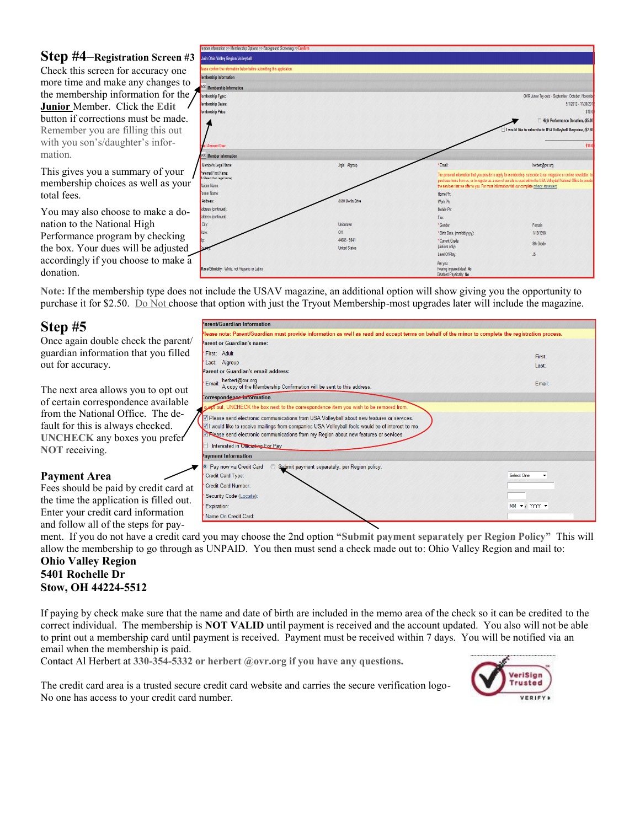### **Step #4–Registration Screen #3**

Check this screen for accuracy one more time and make any changes to the membership information for the **Junior** Member. Click the **Edit**  button if corrections must be made. Remember you are filling this out with you son's/daughter's information.

This gives you a summary of your membership choices as well as your total fees.

You may also choose to make a donation to the National High Performance program by checking the box. Your dues will be adjusted accordingly if you choose to make donation.

|    | Tember Information >> Membership Options >> Background Screening >>Confirm |                      |                                                                                                           |                                                                                                                           |
|----|----------------------------------------------------------------------------|----------------------|-----------------------------------------------------------------------------------------------------------|---------------------------------------------------------------------------------------------------------------------------|
| 43 | Join Ohio Valley Region Volleyball                                         |                      |                                                                                                           |                                                                                                                           |
|    | lease confirm the information below before submitting this application.    |                      |                                                                                                           |                                                                                                                           |
|    | lembership Information                                                     |                      |                                                                                                           |                                                                                                                           |
| 0  | adt Membership Information                                                 |                      |                                                                                                           |                                                                                                                           |
| e  | lembership Type:                                                           |                      |                                                                                                           | OVR Junior Try-outs - September, October, November                                                                        |
|    | lembership Dates:                                                          |                      |                                                                                                           | 9/1/2012 - 11/30/2012                                                                                                     |
|    | lembership Price:                                                          |                      |                                                                                                           | \$10.0                                                                                                                    |
|    |                                                                            |                      |                                                                                                           | High Performance Donation, (\$5.00)                                                                                       |
|    |                                                                            |                      |                                                                                                           | I would like to subscribe to USA Volleyball Magazine, (\$2.50)                                                            |
|    |                                                                            |                      |                                                                                                           |                                                                                                                           |
|    | <b>Amount Due:</b>                                                         |                      |                                                                                                           | \$10.0                                                                                                                    |
|    |                                                                            |                      |                                                                                                           |                                                                                                                           |
|    | dt Member Information                                                      |                      |                                                                                                           |                                                                                                                           |
|    | Member's Legal Name:                                                       | Jrgirl Aigroup       | ' Email:                                                                                                  | herbert@ovr.org                                                                                                           |
|    | Preferred First Name:<br>f different than Legal Name)                      |                      |                                                                                                           | The personal information that you provide to apply for membership, subscribe to our magazine or on-line newsletter, to    |
| ır | Maiden Name:                                                               |                      |                                                                                                           | purchase items from us, or to register as a user of our site is used within the USA Volleyball National Office to provide |
|    | Former Name:                                                               |                      | the services that we offer to you. For more information visit our complete privacy statement.<br>Home Ph: |                                                                                                                           |
|    | Address:                                                                   | 4440 Merlin Drive    | Work Ph:                                                                                                  |                                                                                                                           |
|    | Address (continued):                                                       |                      | Mobile Ph:                                                                                                |                                                                                                                           |
| -  | Address (continued):                                                       |                      | Fax:                                                                                                      |                                                                                                                           |
|    | City:                                                                      | <b>Uniontown</b>     | * Gender:                                                                                                 | Female                                                                                                                    |
|    | State:                                                                     | OH                   | * Birth Date, (mm/dd/yyyy):                                                                               | 1/18/1998                                                                                                                 |
|    | þp.                                                                        | 44685 - 9641         | * Current Grade:                                                                                          |                                                                                                                           |
| 1  |                                                                            | <b>United States</b> | (Juniors only)                                                                                            | 8th Grade                                                                                                                 |
|    |                                                                            |                      | Level Of Play:                                                                                            | J5                                                                                                                        |
| a  |                                                                            |                      | Are you:                                                                                                  |                                                                                                                           |
|    | Race/Ethnicity: White, not Hispanic or Latino                              |                      | Hearing impaired/deaf. No<br>Diephlod Physically: No.                                                     |                                                                                                                           |

**Note:** If the membership type does not include the USAV magazine, an additional option will show giving you the opportunity to purchase it for \$2.50. Do Not choose that option with just the Tryout Membership-most upgrades later will include the magazine.

## **Step #5**

Once again double check the parent/ guardian information that you filled out for accuracy.

The next area allows you to opt out of certain correspondence available from the National Office. The default for this is always checked. **UNCHECK** any boxes you prefer **NOT** receiving.

#### **Payment Area**

Fees should be paid by credit card at the time the application is filled out. Enter your credit card information and follow all of the steps for pay-

| Parent/Guardian Information                                                                                                                        |                      |
|----------------------------------------------------------------------------------------------------------------------------------------------------|----------------------|
| Nease note: Parent/Guardian must provide information as well as read and accept terms on behalf of the minor to complete the registration process. |                      |
| Parent or Guardian's name:                                                                                                                         |                      |
| First: Adult                                                                                                                                       | First:               |
| Last: Aigroup                                                                                                                                      | Last:                |
| Parent or Guardian's email address:                                                                                                                |                      |
| herbert@ovr.org<br>Email:<br>A copy of the Membership Confirmation will be sent to this address.                                                   | Email:               |
| Correspondence Information                                                                                                                         |                      |
| pt out, UNCHECK the box next to the correspondence item you wish to be removed from.                                                               |                      |
| 7 Please send electronic communications from USA Volleyball about new features or services.                                                        |                      |
| VI would like to receive mailings from companies USA Volleyball feels would be of interest to me.                                                  |                      |
| Rease send electronic communications from my Region about new features or services.                                                                |                      |
| Interested in Officiating For Pay                                                                                                                  |                      |
| Payment Information                                                                                                                                |                      |
| <b>O</b> Pay now via Credit Card<br>Submit payment separately, per Region policy.<br>$\odot$                                                       |                      |
| Credit Card Type:                                                                                                                                  | Select One           |
| Credit Card Number:                                                                                                                                |                      |
| Security Code (Locate):                                                                                                                            |                      |
| Expiration:                                                                                                                                        | $MM - I$ YYYY $\sim$ |
| Name On Credit Card:                                                                                                                               |                      |

ment. If you do not have a credit card you may choose the 2nd option **"Submit payment separately per Region Policy"** This will allow the membership to go through as UNPAID. You then must send a check made out to: Ohio Valley Region and mail to:

#### **Ohio Valley Region 5401 Rochelle Dr Stow, OH 44224-5512**

If paying by check make sure that the name and date of birth are included in the memo area of the check so it can be credited to the correct individual. The membership is **NOT VALID** until payment is received and the account updated. You also will not be able to print out a membership card until payment is received. Payment must be received within 7 days. You will be notified via an email when the membership is paid.

Contact Al Herbert at **330-354-5332 or herbert @ovr.org if you have any questions.**

The credit card area is a trusted secure credit card website and carries the secure verification logo-No one has access to your credit card number.

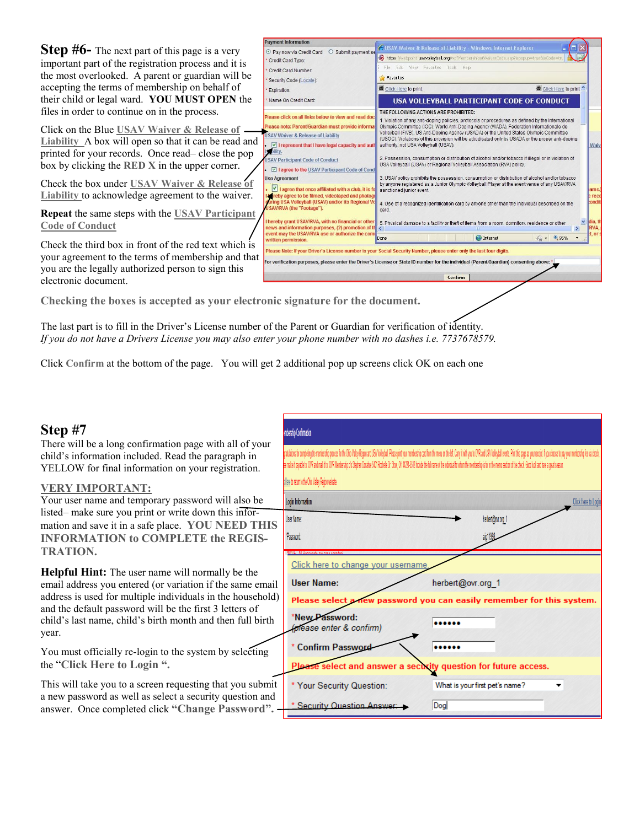**Step #6**– The next part of this page is a very important part of the registration process and it is the most overlooked. A parent or guardian will be accepting the terms of membership on behalf of their child or legal ward. **YOU MUST OPEN** the files in order to continue on in the process.

Click on the Blue **USAV Waiver & Release of Liability** A box will open so that it can be read an printed for your records. Once read– close the pop box by clicking the **RED X** in the upper corner.

Check the box under **USAV Waiver & Release of Liability** to acknowledge agreement to the waiver.

**Repeat** the same steps with the USAV Participan **Code of Conduct** 

Check the third box in front of the red text which is your agreement to the terms of membership and that you are the legally authorized person to sign this electronic document.

| C Pay now via Credit Card<br>O Submit payment se                                                                                                                                                                                                                                                                                | G USAV Waiver & Release of Liability - Windows Internet Explorer                                                                                                                                                                                                                                                                                                                                                                                                                                                                                                                                                                                                     |  |
|---------------------------------------------------------------------------------------------------------------------------------------------------------------------------------------------------------------------------------------------------------------------------------------------------------------------------------|----------------------------------------------------------------------------------------------------------------------------------------------------------------------------------------------------------------------------------------------------------------------------------------------------------------------------------------------------------------------------------------------------------------------------------------------------------------------------------------------------------------------------------------------------------------------------------------------------------------------------------------------------------------------|--|
| Credit Card Type:                                                                                                                                                                                                                                                                                                               | https://webpoint.usavolleyball.org/wp/Memberships/WaiverCode.asp?ispopup=true&isCode=tru                                                                                                                                                                                                                                                                                                                                                                                                                                                                                                                                                                             |  |
| Credit Card Number:                                                                                                                                                                                                                                                                                                             | Fdit<br>View<br>Favorites<br>Tools<br>Help<br>File.                                                                                                                                                                                                                                                                                                                                                                                                                                                                                                                                                                                                                  |  |
| Security Code (Locate):                                                                                                                                                                                                                                                                                                         | Favorites                                                                                                                                                                                                                                                                                                                                                                                                                                                                                                                                                                                                                                                            |  |
| Expiration:                                                                                                                                                                                                                                                                                                                     | Click Here to print<br>Click Here to print.                                                                                                                                                                                                                                                                                                                                                                                                                                                                                                                                                                                                                          |  |
| Name On Credit Card:                                                                                                                                                                                                                                                                                                            | USA VOLLEYBALL PARTICIPANT CODE OF CONDUCT                                                                                                                                                                                                                                                                                                                                                                                                                                                                                                                                                                                                                           |  |
| Please click on all links below to view and read doct<br>Please note: Parent/Guardian must provide informat<br><b>USAV Waiver &amp; Release of Liability</b><br>$\vee$ I represent that I have legal capacity and auth<br>bility.<br><b>USAV Participant Code of Conduct</b><br>I agree to the USAV Participant Code of Cond    | THE FOLLOWING ACTIONS ARE PROHIBITED:<br>1. Violation of any anti-doping policies, protocols or procedures as defined by the International<br>Olympic Committee (IOC), World Anti-Doping Agency (WADA), Federation Internationale de<br>Volleyball (FIVB), US Anti-Doping Agency (USADA) or the United States Olympic Committee<br>(USOC). Violations of this provision will be adjudicated only by USADA or the proper anti-doping<br>authority, not USA Volleyball (USAV).<br>Waiv<br>2. Possession, consumption or distribution of alcohol and/or tobacco if illegal or in violation of<br>USA Volleyball (USAV) or Regional Volleyball Association (RVA) policy. |  |
| <b>Use Agreement</b><br>I agree that once affiliated with a club, it is fo<br>bereby agree to be filmed, videotaped and photogr<br>uring USA Volleyball (USAV) and/or its Regional Vo<br>USAV/RVA (the "Footage").<br>I hereby grant USAV/RVA, with no financial or other<br>news and information purposes, (2) promotion of th | 3. USAV policy prohibits the possession, consumption or distribution of alcohol and/or tobacco<br>by anyone registered as a Junior Olympic Volleyball Player at the event venue of any USAV/RVA<br>sanctioned junior event.<br>lams.<br>e reco<br><b>condit</b><br>4. Use of a recognized identification card by anyone other than the individual described on the<br>card.<br>dia.tl<br>$\checkmark$<br>5. Physical damage to a facility or theft of items from a room, dormitory, residence or other<br><b>RVA.</b>                                                                                                                                                |  |
| event may the USAV/RVA use or authorize the com<br>written permission.                                                                                                                                                                                                                                                          | $t$ , or $t$<br>€ 95%<br><b>O</b> Internet<br>Done<br>$4a +$                                                                                                                                                                                                                                                                                                                                                                                                                                                                                                                                                                                                         |  |
|                                                                                                                                                                                                                                                                                                                                 | Please Note: If your Driver's License number is your Social Security Number, please enter only the last four digits.                                                                                                                                                                                                                                                                                                                                                                                                                                                                                                                                                 |  |
|                                                                                                                                                                                                                                                                                                                                 | For verification purposes, please enter the Driver's License or State ID number for the individual (Parent/Guardian) consenting above: *                                                                                                                                                                                                                                                                                                                                                                                                                                                                                                                             |  |
|                                                                                                                                                                                                                                                                                                                                 |                                                                                                                                                                                                                                                                                                                                                                                                                                                                                                                                                                                                                                                                      |  |
|                                                                                                                                                                                                                                                                                                                                 | Confirm                                                                                                                                                                                                                                                                                                                                                                                                                                                                                                                                                                                                                                                              |  |

**Checking the boxes is accepted as your electronic signature for the document.**

The last part is to fill in the Driver's License number of the Parent or Guardian for verification of identity. *If you do not have a Drivers License you may also enter your phone number with no dashes i.e. 7737678579.*

**Payment Inform** 

Click **Confirm** at the bottom of the page. You will get 2 additional pop up screens click OK on each one

## **Step #7**

There will be a long confirmation page with all of your child's information included. Read the paragraph in YELLOW for final information on your registration.

#### **VERY IMPORTANT:**

Your user name and temporary password will also be listed– make sure you print or write down this information and save it in a safe place. **YOU NEED THIS INFORMATION to COMPLETE the REGIS-TRATION.**

**Helpful Hint:** The user name will normally be the email address you entered (or variation if the same email address is used for multiple individuals in the household) and the default password will be the first 3 letters of child's last name, child's birth month and then full birth year.

You must officially re-login to the system by selecting the "**Click Here to Login ".**

This will take you to a screen requesting that you submit a new password as well as select a security question and answer. Once completed click **"Change Password".**

| <b>Imbership Confirmation</b>                                                                                                                                                                                                                                                                                                                                                                                                                                   |                                                                       |  |
|-----------------------------------------------------------------------------------------------------------------------------------------------------------------------------------------------------------------------------------------------------------------------------------------------------------------------------------------------------------------------------------------------------------------------------------------------------------------|-----------------------------------------------------------------------|--|
| patidion fo compleng the memberity proces for the Volley Region and USA Volleyball. Please print your membership can't more to member that the Cary it with you to OR and USA Volleyball events. Print this pape as your recei<br>ex make it payable to OR and mail it to OR Nembershy of Stephen Doratius EAON Rockele D. Stow, OH 4424-5512 holds the follower of the individad for whom the membershy is for in the memo section of the check. Good lock and |                                                                       |  |
| Here to return to the Ohio Valley Region website.                                                                                                                                                                                                                                                                                                                                                                                                               |                                                                       |  |
| Login Information                                                                                                                                                                                                                                                                                                                                                                                                                                               | <b>Click Here to Login</b>                                            |  |
| User Name:                                                                                                                                                                                                                                                                                                                                                                                                                                                      | herbert@ovr.org_1                                                     |  |
| Password                                                                                                                                                                                                                                                                                                                                                                                                                                                        | aig11998                                                              |  |
| MOTE All Danguardo ara cana concitava                                                                                                                                                                                                                                                                                                                                                                                                                           |                                                                       |  |
| Click here to change your username                                                                                                                                                                                                                                                                                                                                                                                                                              |                                                                       |  |
| <b>User Name:</b>                                                                                                                                                                                                                                                                                                                                                                                                                                               | herbert@ovr.org_1                                                     |  |
|                                                                                                                                                                                                                                                                                                                                                                                                                                                                 | Please select a new password you can easily remember for this system. |  |
| *New Password:<br>(please enter & confirm)                                                                                                                                                                                                                                                                                                                                                                                                                      |                                                                       |  |
| * Confirm Password                                                                                                                                                                                                                                                                                                                                                                                                                                              |                                                                       |  |
| Please select and answer a security question for future access.                                                                                                                                                                                                                                                                                                                                                                                                 |                                                                       |  |
| * Your Security Question:                                                                                                                                                                                                                                                                                                                                                                                                                                       | What is your first pet's name?                                        |  |
| * Security Question Answer:                                                                                                                                                                                                                                                                                                                                                                                                                                     | Dog                                                                   |  |
|                                                                                                                                                                                                                                                                                                                                                                                                                                                                 |                                                                       |  |